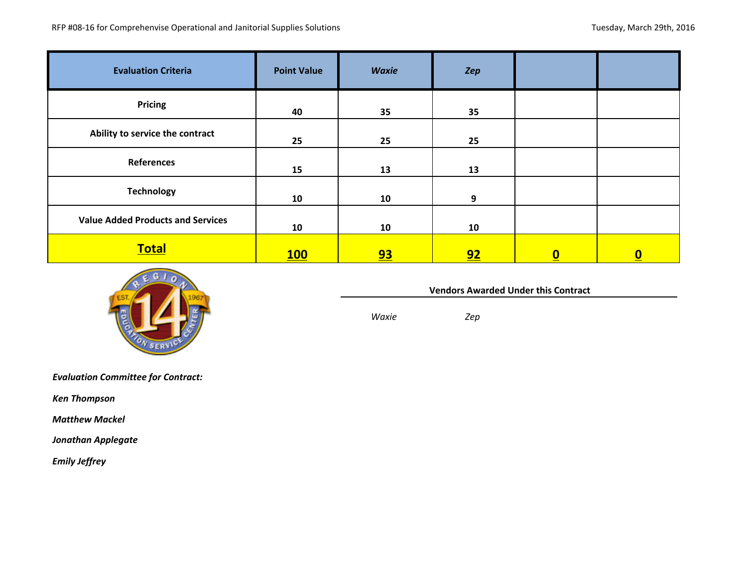| <b>Evaluation Criteria</b>               | <b>Point Value</b> | <b>Waxie</b> | Zep |          |                         |
|------------------------------------------|--------------------|--------------|-----|----------|-------------------------|
| <b>Pricing</b>                           | 40                 | 35           | 35  |          |                         |
| Ability to service the contract          | 25                 | 25           | 25  |          |                         |
| <b>References</b>                        | 15                 | 13           | 13  |          |                         |
| <b>Technology</b>                        | 10                 | 10           | 9   |          |                         |
| <b>Value Added Products and Services</b> | 10                 | 10           | 10  |          |                         |
| <b>Total</b>                             | <b>100</b>         | <u>93</u>    | 92  | <u>0</u> | $\overline{\mathbf{0}}$ |



**Vendors Awarded Under this Contract** 

*Waxie Zep*

*Evaluation Committee for Contract:* 

*Ken Thompson*

 *Matthew Mackel*

*Jonathan Applegate*

 *Emily Jeffrey*